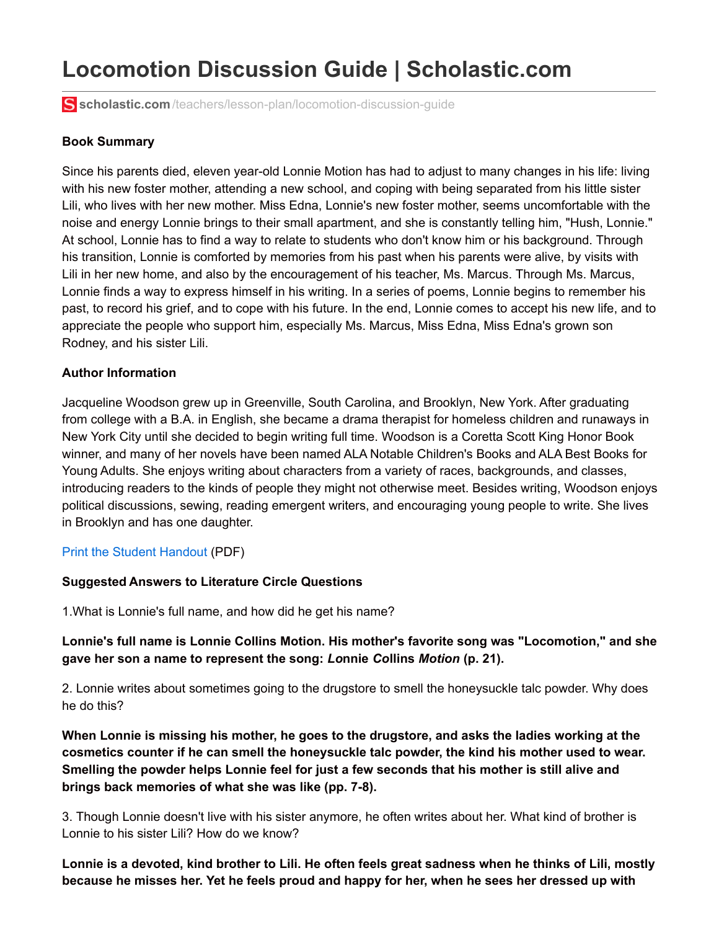# **Locomotion Discussion Guide | Scholastic.com**

**scholastic.com**[/teachers/lesson-plan/locomotion-discussion-guide](http://www.scholastic.com/teachers/lesson-plan/locomotion-discussion-guide)

#### **Book Summary**

Since his parents died, eleven year-old Lonnie Motion has had to adjust to many changes in his life: living with his new foster mother, attending a new school, and coping with being separated from his little sister Lili, who lives with her new mother. Miss Edna, Lonnie's new foster mother, seems uncomfortable with the noise and energy Lonnie brings to their small apartment, and she is constantly telling him, "Hush, Lonnie." At school, Lonnie has to find a way to relate to students who don't know him or his background. Through his transition, Lonnie is comforted by memories from his past when his parents were alive, by visits with Lili in her new home, and also by the encouragement of his teacher, Ms. Marcus. Through Ms. Marcus, Lonnie finds a way to express himself in his writing. In a series of poems, Lonnie begins to remember his past, to record his grief, and to cope with his future. In the end, Lonnie comes to accept his new life, and to appreciate the people who support him, especially Ms. Marcus, Miss Edna, Miss Edna's grown son Rodney, and his sister Lili.

#### **Author Information**

Jacqueline Woodson grew up in Greenville, South Carolina, and Brooklyn, New York. After graduating from college with a B.A. in English, she became a drama therapist for homeless children and runaways in New York City until she decided to begin writing full time. Woodson is a Coretta Scott King Honor Book winner, and many of her novels have been named ALA Notable Children's Books and ALA Best Books for Young Adults. She enjoys writing about characters from a variety of races, backgrounds, and classes, introducing readers to the kinds of people they might not otherwise meet. Besides writing, Woodson enjoys political discussions, sewing, reading emergent writers, and encouraging young people to write. She lives in Brooklyn and has one daughter.

### Print the Student [Handout](http://www.scholastic.com/teachers/lesson-plan/collateral_resources/pdf/c/clubs_pdfs_new_locomotion_q.pdf) (PDF)

#### **Suggested Answers to Literature Circle Questions**

1.What is Lonnie's full name, and how did he get his name?

## **Lonnie's full name is Lonnie Collins Motion. His mother's favorite song was "Locomotion," and she gave her son a name to represent the song:** *Lo***nnie** *Co***llins** *Motion* **(p. 21).**

2. Lonnie writes about sometimes going to the drugstore to smell the honeysuckle talc powder. Why does he do this?

**When Lonnie is missing his mother, he goes to the drugstore, and asks the ladies working at the cosmetics counter if he can smell the honeysuckle talc powder, the kind his mother used to wear. Smelling the powder helps Lonnie feel for just a few seconds that his mother is still alive and brings back memories of what she was like (pp. 7-8).**

3. Though Lonnie doesn't live with his sister anymore, he often writes about her. What kind of brother is Lonnie to his sister Lili? How do we know?

Lonnie is a devoted, kind brother to Lili. He often feels great sadness when he thinks of Lili, mostly because he misses her. Yet he feels proud and happy for her, when he sees her dressed up with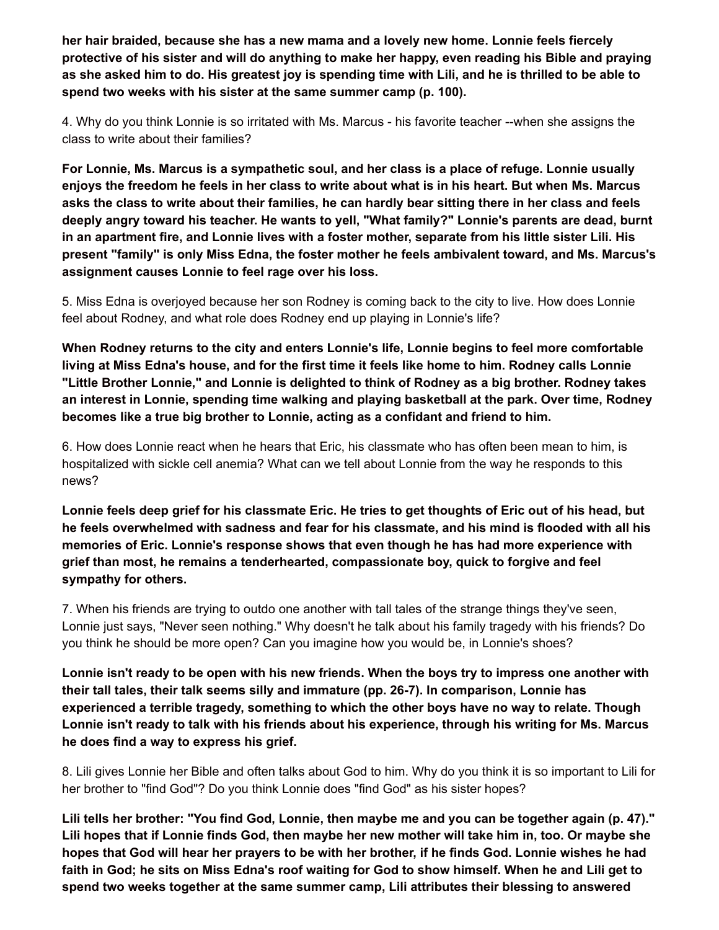**her hair braided, because she has a new mama and a lovely new home. Lonnie feels fiercely** protective of his sister and will do anything to make her happy, even reading his Bible and praying as she asked him to do. His greatest joy is spending time with Lili, and he is thrilled to be able to **spend two weeks with his sister at the same summer camp (p. 100).**

4. Why do you think Lonnie is so irritated with Ms. Marcus - his favorite teacher --when she assigns the class to write about their families?

**For Lonnie, Ms. Marcus is a sympathetic soul, and her class is a place of refuge. Lonnie usually** enjoys the freedom he feels in her class to write about what is in his heart. But when Ms. Marcus asks the class to write about their families, he can hardly bear sitting there in her class and feels **deeply angry toward his teacher. He wants to yell, "What family?" Lonnie's parents are dead, burnt** in an apartment fire, and Lonnie lives with a foster mother, separate from his little sister Lili. His **present "family" is only Miss Edna, the foster mother he feels ambivalent toward, and Ms. Marcus's assignment causes Lonnie to feel rage over his loss.**

5. Miss Edna is overjoyed because her son Rodney is coming back to the city to live. How does Lonnie feel about Rodney, and what role does Rodney end up playing in Lonnie's life?

**When Rodney returns to the city and enters Lonnie's life, Lonnie begins to feel more comfortable** living at Miss Edna's house, and for the first time it feels like home to him. Rodney calls Lonnie **"Little Brother Lonnie," and Lonnie is delighted to think of Rodney as a big brother. Rodney takes an interest in Lonnie, spending time walking and playing basketball at the park. Over time, Rodney becomes like a true big brother to Lonnie, acting as a confidant and friend to him.**

6. How does Lonnie react when he hears that Eric, his classmate who has often been mean to him, is hospitalized with sickle cell anemia? What can we tell about Lonnie from the way he responds to this news?

Lonnie feels deep grief for his classmate Eric. He tries to get thoughts of Eric out of his head, but **he feels overwhelmed with sadness and fear for his classmate, and his mind is flooded with all his memories of Eric. Lonnie's response shows that even though he has had more experience with grief than most, he remains a tenderhearted, compassionate boy, quick to forgive and feel sympathy for others.**

7. When his friends are trying to outdo one another with tall tales of the strange things they've seen, Lonnie just says, "Never seen nothing." Why doesn't he talk about his family tragedy with his friends? Do you think he should be more open? Can you imagine how you would be, in Lonnie's shoes?

Lonnie isn't ready to be open with his new friends. When the boys try to impress one another with **their tall tales, their talk seems silly and immature (pp. 26-7). In comparison, Lonnie has experienced a terrible tragedy, something to which the other boys have no way to relate. Though Lonnie isn't ready to talk with his friends about his experience, through his writing for Ms. Marcus he does find a way to express his grief.**

8. Lili gives Lonnie her Bible and often talks about God to him. Why do you think it is so important to Lili for her brother to "find God"? Do you think Lonnie does "find God" as his sister hopes?

Lili tells her brother: "You find God, Lonnie, then maybe me and you can be together again (p. 47)." Lili hopes that if Lonnie finds God, then maybe her new mother will take him in, too. Or maybe she hopes that God will hear her prayers to be with her brother, if he finds God. Lonnie wishes he had faith in God; he sits on Miss Edna's roof waiting for God to show himself. When he and Lili get to **spend two weeks together at the same summer camp, Lili attributes their blessing to answered**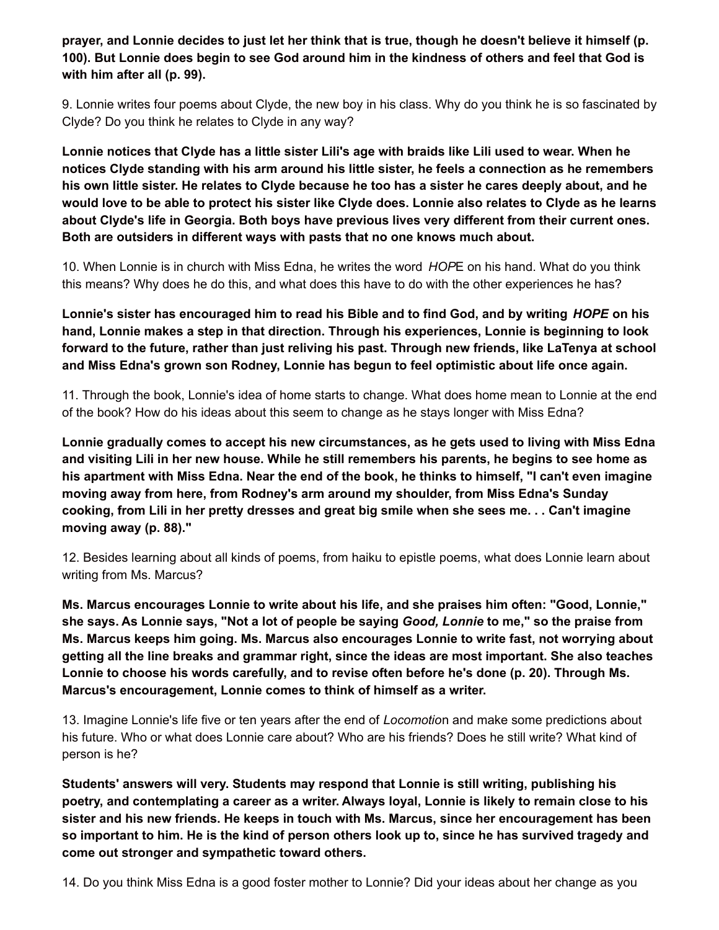prayer, and Lonnie decides to just let her think that is true, though he doesn't believe it himself (p. 100). But Lonnie does begin to see God around him in the kindness of others and feel that God is **with him after all (p. 99).**

9. Lonnie writes four poems about Clyde, the new boy in his class. Why do you think he is so fascinated by Clyde? Do you think he relates to Clyde in any way?

Lonnie notices that Clyde has a little sister Lili's age with braids like Lili used to wear. When he **notices Clyde standing with his arm around his little sister, he feels a connection as he remembers** his own little sister. He relates to Clyde because he too has a sister he cares deeply about, and he would love to be able to protect his sister like Clyde does. Lonnie also relates to Clyde as he learns **about Clyde's life in Georgia. Both boys have previous lives very different from their current ones. Both are outsiders in different ways with pasts that no one knows much about.**

10. When Lonnie is in church with Miss Edna, he writes the word *HOP*E on his hand. What do you think this means? Why does he do this, and what does this have to do with the other experiences he has?

Lonnie's sister has encouraged him to read his Bible and to find God, and by writing *HOPE* on his **hand, Lonnie makes a step in that direction. Through his experiences, Lonnie is beginning to look forward to the future, rather than just reliving his past. Through new friends, like LaTenya at school and Miss Edna's grown son Rodney, Lonnie has begun to feel optimistic about life once again.**

11. Through the book, Lonnie's idea of home starts to change. What does home mean to Lonnie at the end of the book? How do his ideas about this seem to change as he stays longer with Miss Edna?

**Lonnie gradually comes to accept his new circumstances, as he gets used to living with Miss Edna** and visiting Lili in her new house. While he still remembers his parents, he begins to see home as his apartment with Miss Edna. Near the end of the book, he thinks to himself, "I can't even imagine **moving away from here, from Rodney's arm around my shoulder, from Miss Edna's Sunday** cooking, from Lili in her pretty dresses and great big smile when she sees me... Can't imagine **moving away (p. 88)."**

12. Besides learning about all kinds of poems, from haiku to epistle poems, what does Lonnie learn about writing from Ms. Marcus?

**Ms. Marcus encourages Lonnie to write about his life, and she praises him often: "Good, Lonnie,"** she says. As Lonnie says, "Not a lot of people be saying *Good, Lonnie* to me," so the praise from **Ms. Marcus keeps him going. Ms. Marcus also encourages Lonnie to write fast, not worrying about getting all the line breaks and grammar right, since the ideas are most important. She also teaches Lonnie to choose his words carefully, and to revise often before he's done (p. 20). Through Ms. Marcus's encouragement, Lonnie comes to think of himself as a writer.**

13. Imagine Lonnie's life five or ten years after the end of *Locomotio*n and make some predictions about his future. Who or what does Lonnie care about? Who are his friends? Does he still write? What kind of person is he?

**Students' answers will very. Students may respond that Lonnie is still writing, publishing his** poetry, and contemplating a career as a writer. Always loyal, Lonnie is likely to remain close to his **sister and his new friends. He keeps in touch with Ms. Marcus, since her encouragement has been** so important to him. He is the kind of person others look up to, since he has survived tragedy and **come out stronger and sympathetic toward others.**

14. Do you think Miss Edna is a good foster mother to Lonnie? Did your ideas about her change as you